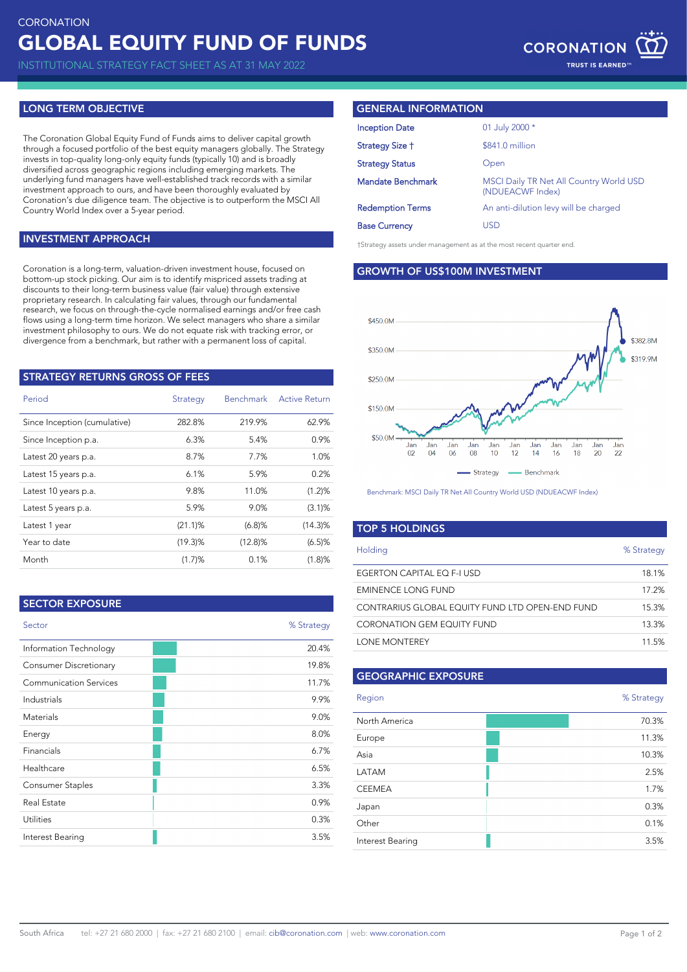INSTITUTIONAL STRATEGY FACT SHEET AS AT 31 MAY 2022

## **LONG TERM OBJECTIVE**

The Coronation Global Equity Fund of Funds aims to deliver capital growth through a focused portfolio of the best equity managers globally. The Strategy invests in top-quality long-only equity funds (typically 10) and is broadly diversified across geographic regions including emerging markets. The underlying fund managers have well-established track records with a similar investment approach to ours, and have been thoroughly evaluated by Coronation's due diligence team. The objective is to outperform the MSCI All Country World Index over a 5-year period.

### **INVESTMENT APPROACH**

Coronation is a long-term, valuation-driven investment house, focused on bottom-up stock picking. Our aim is to identify mispriced assets trading at discounts to their long-term business value (fair value) through extensive proprietary research. In calculating fair values, through our fundamental research, we focus on through-the-cycle normalised earnings and/or free cash flows using a long-term time horizon. We select managers who share a similar investment philosophy to ours. We do not equate risk with tracking error, or divergence from a benchmark, but rather with a permanent loss of capital.

| <b>STRATEGY RETURNS GROSS OF FEES</b> |            |                  |                      |  |  |  |
|---------------------------------------|------------|------------------|----------------------|--|--|--|
| Period                                | Strategy   | <b>Benchmark</b> | <b>Active Return</b> |  |  |  |
| Since Inception (cumulative)          | 282.8%     | 219.9%           | 62.9%                |  |  |  |
| Since Inception p.a.                  | 6.3%       | 5.4%             | 0.9%                 |  |  |  |
| Latest 20 years p.a.                  | 8.7%       | 7.7%             | 1.0%                 |  |  |  |
| Latest 15 years p.a.                  | 6.1%       | 5.9%             | 0.2%                 |  |  |  |
| Latest 10 years p.a.                  | 9.8%       | 11.0%            | (1.2)%               |  |  |  |
| Latest 5 years p.a.                   | 5.9%       | 9.0%             | (3.1)%               |  |  |  |
| Latest 1 year                         | $(21.1)$ % | (6.8)%           | $(14.3)\%$           |  |  |  |
| Year to date                          | (19.3)%    | $(12.8)\%$       | (6.5)%               |  |  |  |
| Month                                 | (1.7)%     | 0.1%             | (1.8)%               |  |  |  |

| % Strategy |
|------------|
| 20.4%      |
| 19.8%      |
| 11.7%      |
| 9.9%       |
| 9.0%       |
| 8.0%       |
| 6.7%       |
| 6.5%       |
| 3.3%       |
| 0.9%       |
| 0.3%       |
| 3.5%       |
|            |

### **GENERAL INFORMATION**

| <b>Inception Date</b>    | 01 July 2000 *                                                     |  |
|--------------------------|--------------------------------------------------------------------|--|
| Strategy Size †          | \$841.0 million                                                    |  |
| <b>Strategy Status</b>   | Open                                                               |  |
| <b>Mandate Benchmark</b> | <b>MSCI Daily TR Net All Country World USD</b><br>(NDUEACWF Index) |  |
| <b>Redemption Terms</b>  | An anti-dilution levy will be charged                              |  |
| <b>Base Currency</b>     | USD                                                                |  |
|                          |                                                                    |  |

†Strategy assets under management as at the most recent quarter end.

**GROWTH OF US\$100M INVESTMENT**



Benchmark: MSCI Daily TR Net All Country World USD (NDUEACWF Index)

| <b>TOP 5 HOLDINGS</b>                           |            |
|-------------------------------------------------|------------|
| Holding                                         | % Strategy |
| EGERTON CAPITAL EO F-I USD                      | 18.1%      |
| EMINENCE LONG FUND                              | 17.2%      |
| CONTRARIUS GLOBAL EQUITY FUND LTD OPEN-END FUND | 15.3%      |
| CORONATION GEM EQUITY FUND                      | 13.3%      |
| LONE MONTEREY                                   | 11.5%      |

## **GEOGRAPHIC EXPOSURE**

| Region           | % Strategy |
|------------------|------------|
| North America    | 70.3%      |
| Europe           | 11.3%      |
| Asia             | 10.3%      |
| LATAM            | 2.5%       |
| <b>CEEMEA</b>    | 1.7%       |
| Japan            | 0.3%       |
| Other            | 0.1%       |
| Interest Bearing | 3.5%       |